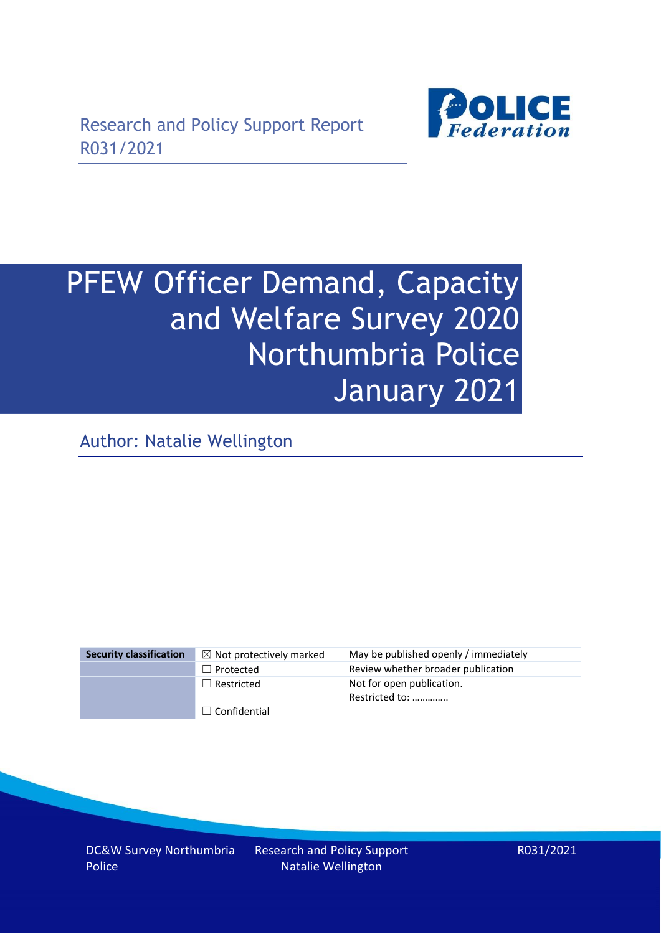

# PFEW Officer Demand, Capacity and Welfare Survey 2020 Northumbria Police January 2021

Author: Natalie Wellington

| <b>Security classification</b> | $\boxtimes$ Not protectively marked | May be published openly / immediately       |
|--------------------------------|-------------------------------------|---------------------------------------------|
|                                | $\Box$ Protected                    | Review whether broader publication          |
|                                | $\Box$ Restricted                   | Not for open publication.<br>Restricted to: |
|                                | $\Box$ Confidential                 |                                             |

DC&W Survey Northumbria Police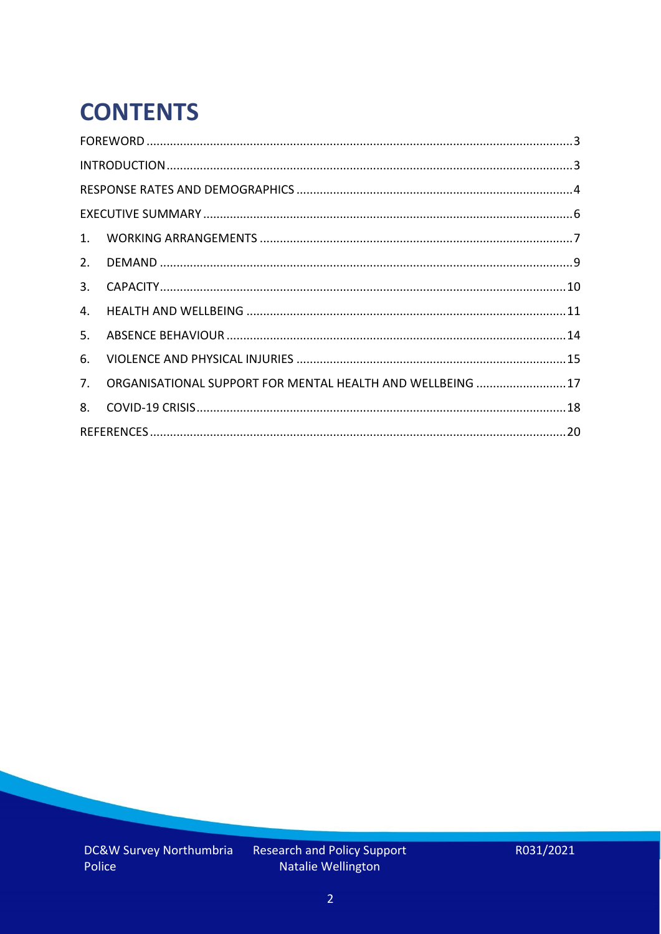# **CONTENTS**

| 4.          |                                                            |  |
|-------------|------------------------------------------------------------|--|
| 5.          |                                                            |  |
| 6.          |                                                            |  |
| $7_{\cdot}$ | ORGANISATIONAL SUPPORT FOR MENTAL HEALTH AND WELLBEING  17 |  |
| 8.          |                                                            |  |
|             |                                                            |  |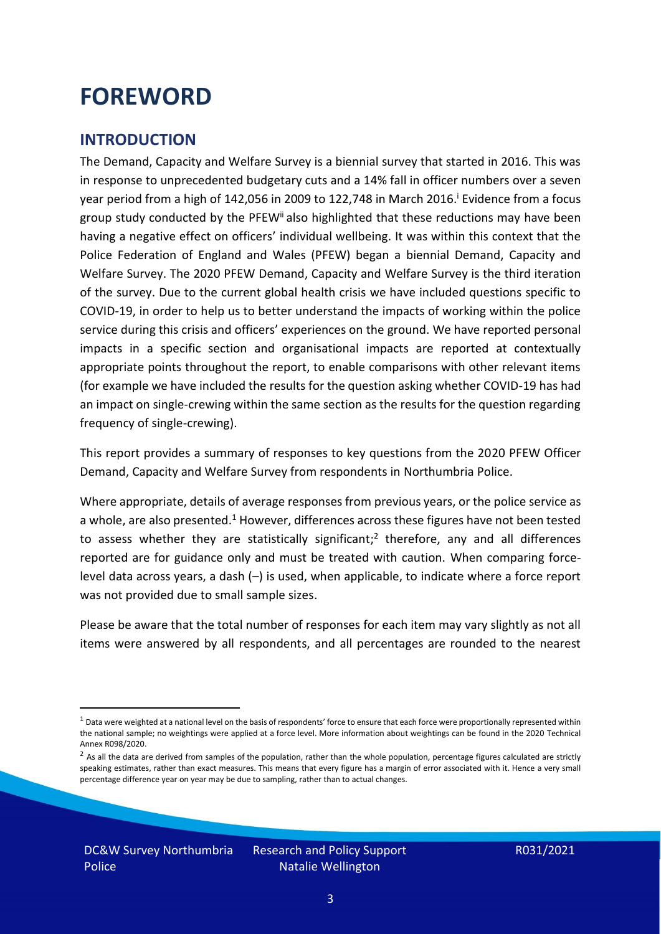### <span id="page-2-0"></span>**FOREWORD**

### <span id="page-2-1"></span>**INTRODUCTION**

The Demand, Capacity and Welfare Survey is a biennial survey that started in 2016. This was in response to unprecedented budgetary cuts and a 14% fall in officer numbers over a seven year period from a high of 142,056 in 2009 to 122,748 in March 2016. <sup>i</sup> Evidence from a focus group study conducted by the PFEW<sup>ii</sup> also highlighted that these reductions may have been having a negative effect on officers' individual wellbeing. It was within this context that the Police Federation of England and Wales (PFEW) began a biennial Demand, Capacity and Welfare Survey. The 2020 PFEW Demand, Capacity and Welfare Survey is the third iteration of the survey. Due to the current global health crisis we have included questions specific to COVID-19, in order to help us to better understand the impacts of working within the police service during this crisis and officers' experiences on the ground. We have reported personal impacts in a specific section and organisational impacts are reported at contextually appropriate points throughout the report, to enable comparisons with other relevant items (for example we have included the results for the question asking whether COVID-19 has had an impact on single-crewing within the same section as the results for the question regarding frequency of single-crewing).

This report provides a summary of responses to key questions from the 2020 PFEW Officer Demand, Capacity and Welfare Survey from respondents in Northumbria Police.

Where appropriate, details of average responses from previous years, or the police service as a whole, are also presented.<sup>1</sup> However, differences across these figures have not been tested to assess whether they are statistically significant;<sup>2</sup> therefore, any and all differences reported are for guidance only and must be treated with caution. When comparing forcelevel data across years, a dash (–) is used, when applicable, to indicate where a force report was not provided due to small sample sizes.

Please be aware that the total number of responses for each item may vary slightly as not all items were answered by all respondents, and all percentages are rounded to the nearest

 $1$  Data were weighted at a national level on the basis of respondents' force to ensure that each force were proportionally represented within the national sample; no weightings were applied at a force level. More information about weightings can be found in the 2020 Technical Annex R098/2020.

 $2$  As all the data are derived from samples of the population, rather than the whole population, percentage figures calculated are strictly speaking estimates, rather than exact measures. This means that every figure has a margin of error associated with it. Hence a very small percentage difference year on year may be due to sampling, rather than to actual changes.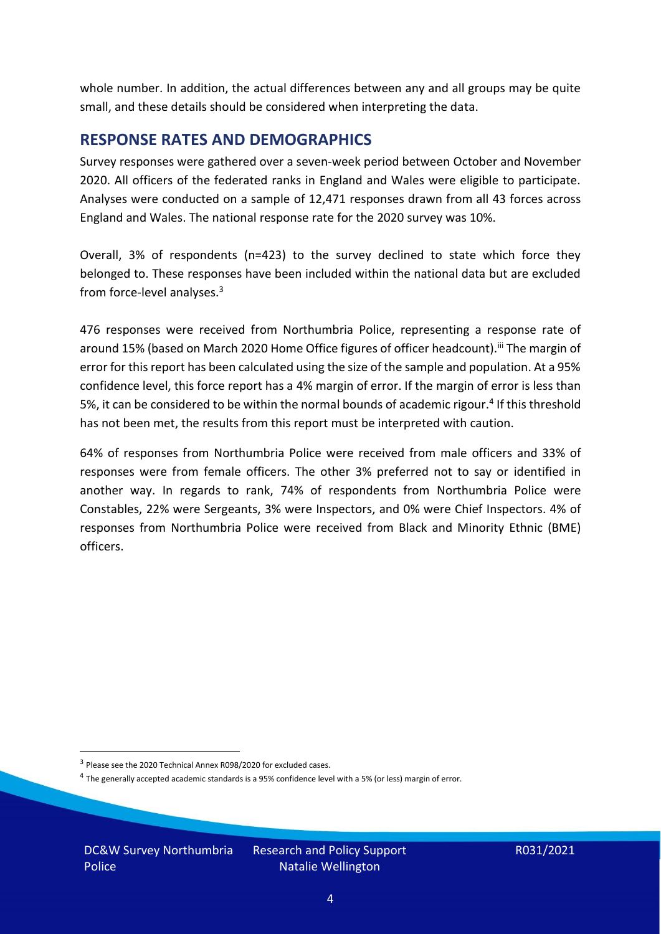whole number. In addition, the actual differences between any and all groups may be quite small, and these details should be considered when interpreting the data.

#### <span id="page-3-0"></span>**RESPONSE RATES AND DEMOGRAPHICS**

Survey responses were gathered over a seven-week period between October and November 2020. All officers of the federated ranks in England and Wales were eligible to participate. Analyses were conducted on a sample of 12,471 responses drawn from all 43 forces across England and Wales. The national response rate for the 2020 survey was 10%.

Overall, 3% of respondents (n=423) to the survey declined to state which force they belonged to. These responses have been included within the national data but are excluded from force-level analyses.<sup>3</sup>

476 responses were received from Northumbria Police, representing a response rate of around 15% (based on March 2020 Home Office figures of officer headcount).<sup>iii</sup> The margin of error for this report has been calculated using the size of the sample and population. At a 95% confidence level, this force report has a 4% margin of error. If the margin of error is less than 5%, it can be considered to be within the normal bounds of academic rigour.<sup>4</sup> If this threshold has not been met, the results from this report must be interpreted with caution.

64% of responses from Northumbria Police were received from male officers and 33% of responses were from female officers. The other 3% preferred not to say or identified in another way. In regards to rank, 74% of respondents from Northumbria Police were Constables, 22% were Sergeants, 3% were Inspectors, and 0% were Chief Inspectors. 4% of responses from Northumbria Police were received from Black and Minority Ethnic (BME) officers.

DC&W Survey Northumbria Police

<sup>&</sup>lt;sup>3</sup> Please see the 2020 Technical Annex R098/2020 for excluded cases.

<sup>&</sup>lt;sup>4</sup> The generally accepted academic standards is a 95% confidence level with a 5% (or less) margin of error.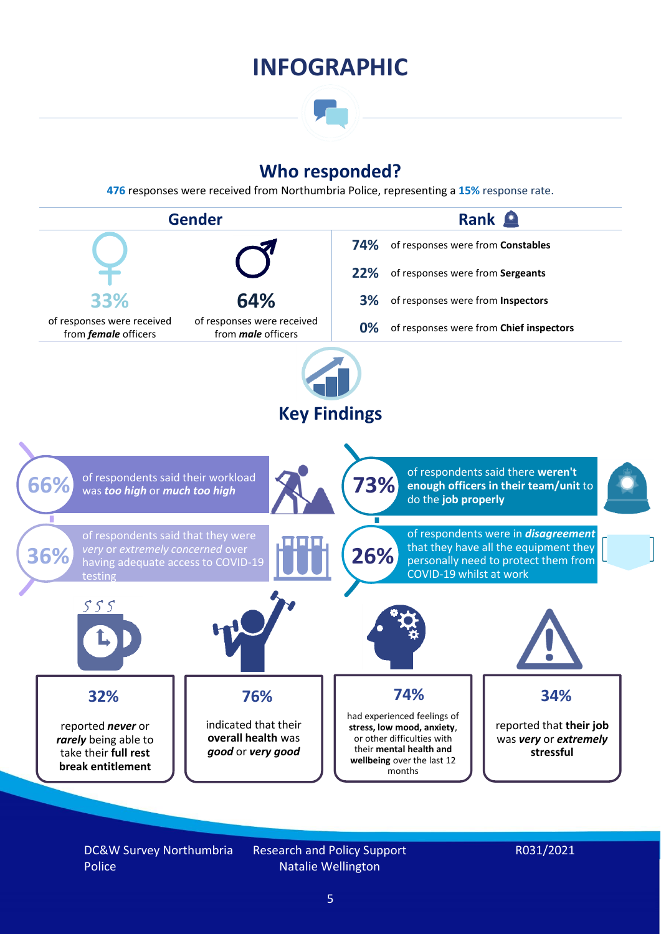### **INFOGRAPHIC**

### **Who responded?**

**476** responses were received from Northumbria Police, representing a **15%** response rate.



DC&W Survey Northumbria Police

Research and Policy Support Natalie Wellington

#### R031/2021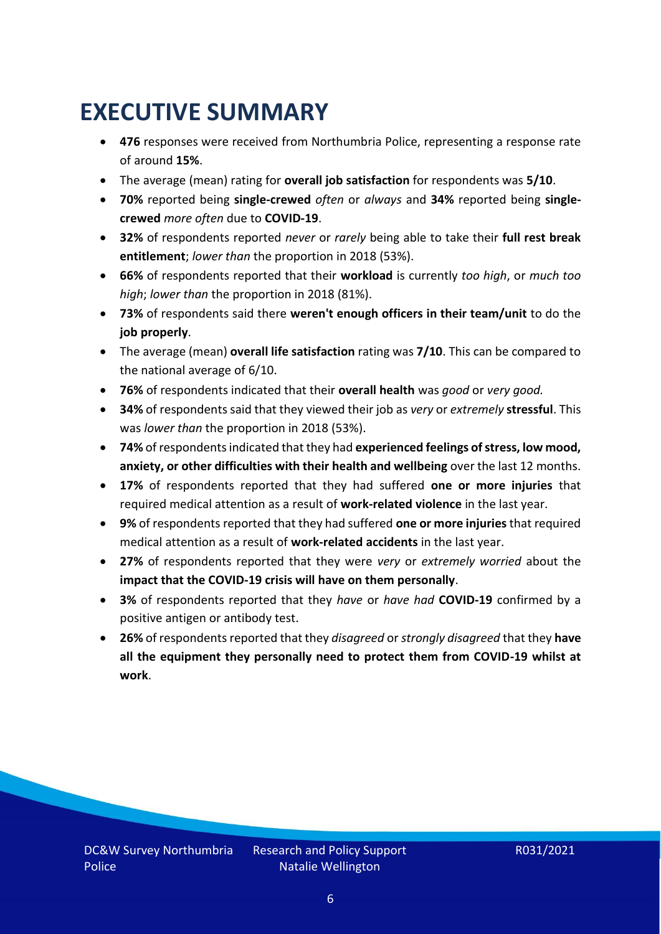### <span id="page-5-0"></span>**EXECUTIVE SUMMARY**

- **476** responses were received from Northumbria Police, representing a response rate of around **15%**.
- The average (mean) rating for **overall job satisfaction** for respondents was **5/10**.
- **70%** reported being **single-crewed** *often* or *always* and **34%** reported being **singlecrewed** *more often* due to **COVID-19**.
- **32%** of respondents reported *never* or *rarely* being able to take their **full rest break entitlement**; *lower than* the proportion in 2018 (53%).
- **66%** of respondents reported that their **workload** is currently *too high*, or *much too high*; *lower than* the proportion in 2018 (81%).
- **73%** of respondents said there **weren't enough officers in their team/unit** to do the **job properly**.
- The average (mean) **overall life satisfaction** rating was **7/10**. This can be compared to the national average of 6/10.
- **76%** of respondents indicated that their **overall health** was *good* or *very good.*
- **34%** of respondents said that they viewed their job as *very* or *extremely* **stressful**. This was *lower than* the proportion in 2018 (53%).
- **74%** of respondents indicated that they had **experienced feelings of stress, low mood, anxiety, or other difficulties with their health and wellbeing** over the last 12 months.
- **17%** of respondents reported that they had suffered **one or more injuries** that required medical attention as a result of **work-related violence** in the last year.
- **9%** of respondents reported that they had suffered **one or more injuries**that required medical attention as a result of **work-related accidents** in the last year.
- **27%** of respondents reported that they were *very* or *extremely worried* about the **impact that the COVID-19 crisis will have on them personally**.
- **3%** of respondents reported that they *have* or *have had* **COVID-19** confirmed by a positive antigen or antibody test.
- **26%** of respondents reported that they *disagreed* or *strongly disagreed* that they **have all the equipment they personally need to protect them from COVID-19 whilst at work**.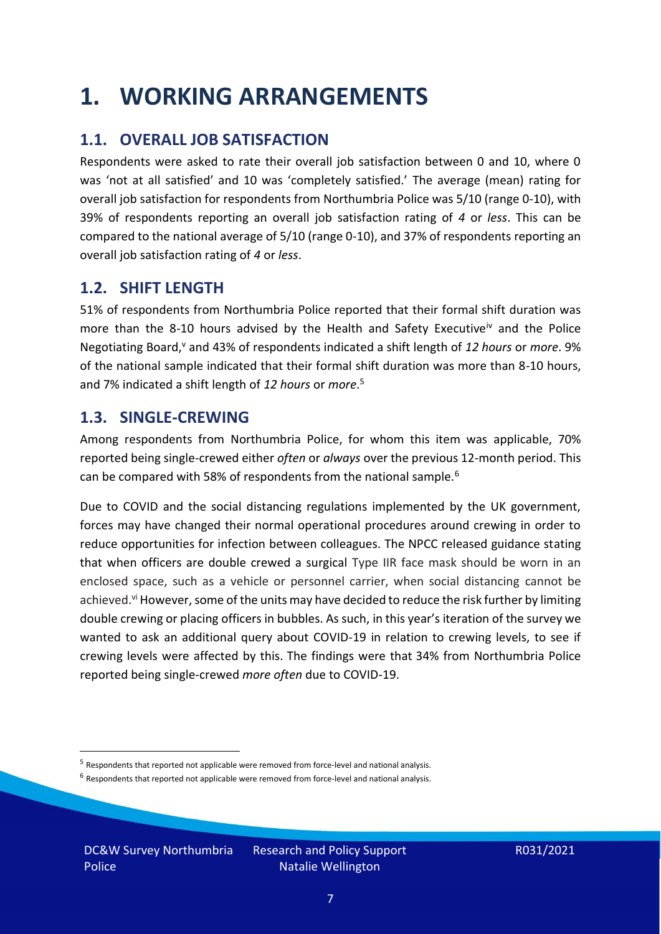### <span id="page-6-0"></span>**1. WORKING ARRANGEMENTS**

### **1.1. OVERALL JOB SATISFACTION**

Respondents were asked to rate their overall job satisfaction between 0 and 10, where 0 was 'not at all satisfied' and 10 was 'completely satisfied.' The average (mean) rating for overall job satisfaction for respondents from Northumbria Police was 5/10 (range 0-10), with 39% of respondents reporting an overall job satisfaction rating of *4* or *less*. This can be compared to the national average of 5/10 (range 0-10), and 37% of respondents reporting an overall job satisfaction rating of *4* or *less*.

### **1.2. SHIFT LENGTH**

51% of respondents from Northumbria Police reported that their formal shift duration was more than the 8-10 hours advised by the Health and Safety Executive<sup>iv</sup> and the Police Negotiating Board,<sup>v</sup> and 43% of respondents indicated a shift length of 12 hours or *more*. 9% of the national sample indicated that their formal shift duration was more than 8-10 hours, and 7% indicated a shift length of *12 hours* or *more*. 5

#### **1.3. SINGLE-CREWING**

Among respondents from Northumbria Police, for whom this item was applicable, 70% reported being single-crewed either *often* or *always* over the previous 12-month period. This can be compared with 58% of respondents from the national sample.<sup>6</sup>

Due to COVID and the social distancing regulations implemented by the UK government, forces may have changed their normal operational procedures around crewing in order to reduce opportunities for infection between colleagues. The NPCC released guidance stating that when officers are double crewed a surgical Type IIR face mask should be worn in an enclosed space, such as a vehicle or personnel carrier, when social distancing cannot be achieved.<sup>vi</sup> However, some of the units may have decided to reduce the risk further by limiting double crewing or placing officers in bubbles. As such, in this year's iteration of the survey we wanted to ask an additional query about COVID-19 in relation to crewing levels, to see if crewing levels were affected by this. The findings were that 34% from Northumbria Police reported being single-crewed *more often* due to COVID-19.

DC&W Survey Northumbria Police

<sup>&</sup>lt;sup>5</sup> Respondents that reported not applicable were removed from force-level and national analysis.

 $<sup>6</sup>$  Respondents that reported not applicable were removed from force-level and national analysis.</sup>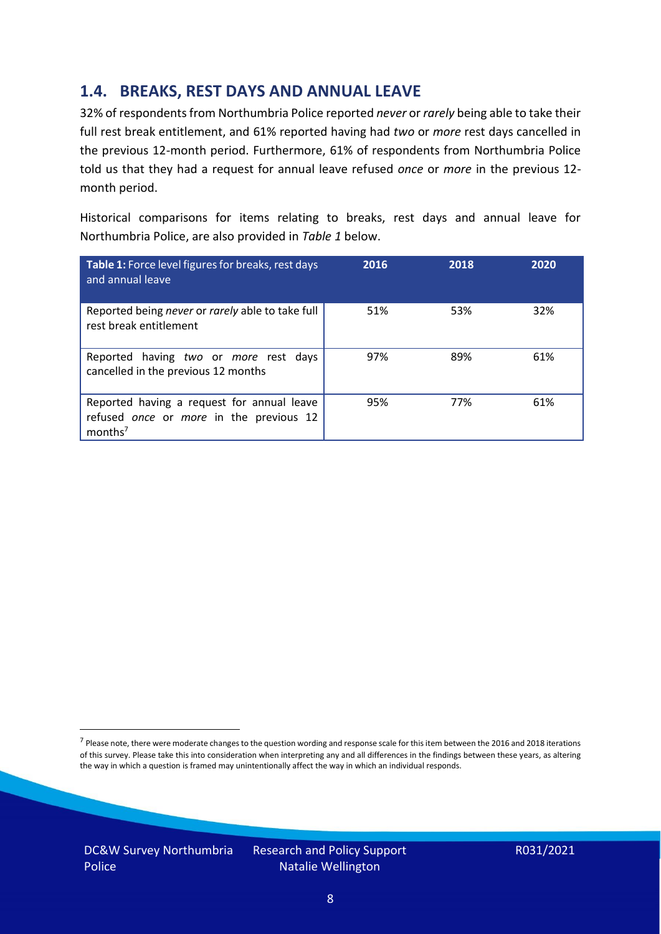### **1.4. BREAKS, REST DAYS AND ANNUAL LEAVE**

32% of respondents from Northumbria Police reported *never* or *rarely* being able to take their full rest break entitlement, and 61% reported having had *two* or *more* rest days cancelled in the previous 12-month period. Furthermore, 61% of respondents from Northumbria Police told us that they had a request for annual leave refused *once* or *more* in the previous 12 month period.

Historical comparisons for items relating to breaks, rest days and annual leave for Northumbria Police, are also provided in *Table 1* below.

| Table 1: Force level figures for breaks, rest days<br>and annual leave                                       | 2016 | 2018 | 2020 |
|--------------------------------------------------------------------------------------------------------------|------|------|------|
| Reported being never or rarely able to take full<br>rest break entitlement                                   | 51%  | 53%  | 32%  |
| Reported having two or more rest days<br>cancelled in the previous 12 months                                 | 97%  | 89%  | 61%  |
| Reported having a request for annual leave<br>refused once or more in the previous 12<br>months <sup>7</sup> | 95%  | 77%  | 61%  |

DC&W Survey Northumbria Police

<sup>&</sup>lt;sup>7</sup> Please note, there were moderate changes to the question wording and response scale for this item between the 2016 and 2018 iterations of this survey. Please take this into consideration when interpreting any and all differences in the findings between these years, as altering the way in which a question is framed may unintentionally affect the way in which an individual responds.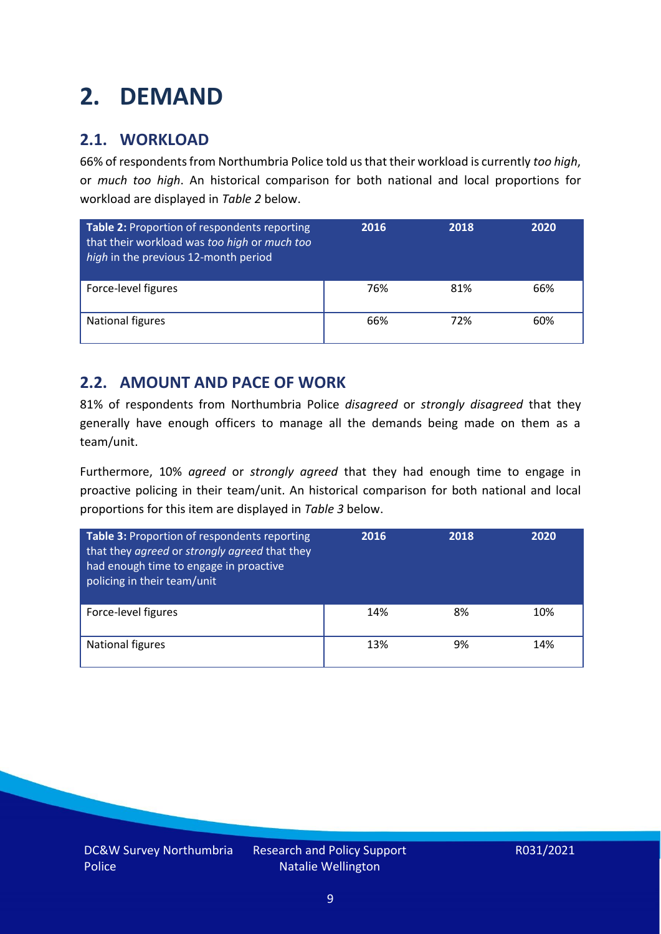### <span id="page-8-0"></span>**2. DEMAND**

### **2.1. WORKLOAD**

66% of respondents from Northumbria Police told us that their workload is currently *too high*, or *much too high*. An historical comparison for both national and local proportions for workload are displayed in *Table 2* below.

| Table 2: Proportion of respondents reporting<br>that their workload was too high or much too<br>high in the previous 12-month period | 2016 | 2018 | 2020 |
|--------------------------------------------------------------------------------------------------------------------------------------|------|------|------|
| Force-level figures                                                                                                                  | 76%  | 81%  | 66%  |
| National figures                                                                                                                     | 66%  | 72%  | 60%  |

### **2.2. AMOUNT AND PACE OF WORK**

81% of respondents from Northumbria Police *disagreed* or *strongly disagreed* that they generally have enough officers to manage all the demands being made on them as a team/unit.

Furthermore, 10% *agreed* or *strongly agreed* that they had enough time to engage in proactive policing in their team/unit. An historical comparison for both national and local proportions for this item are displayed in *Table 3* below.

| <b>Table 3: Proportion of respondents reporting</b><br>that they agreed or strongly agreed that they<br>had enough time to engage in proactive<br>policing in their team/unit | 2016 | 2018 | 2020 |
|-------------------------------------------------------------------------------------------------------------------------------------------------------------------------------|------|------|------|
| Force-level figures                                                                                                                                                           | 14%  | 8%   | 10%  |
| National figures                                                                                                                                                              | 13%  | 9%   | 14%  |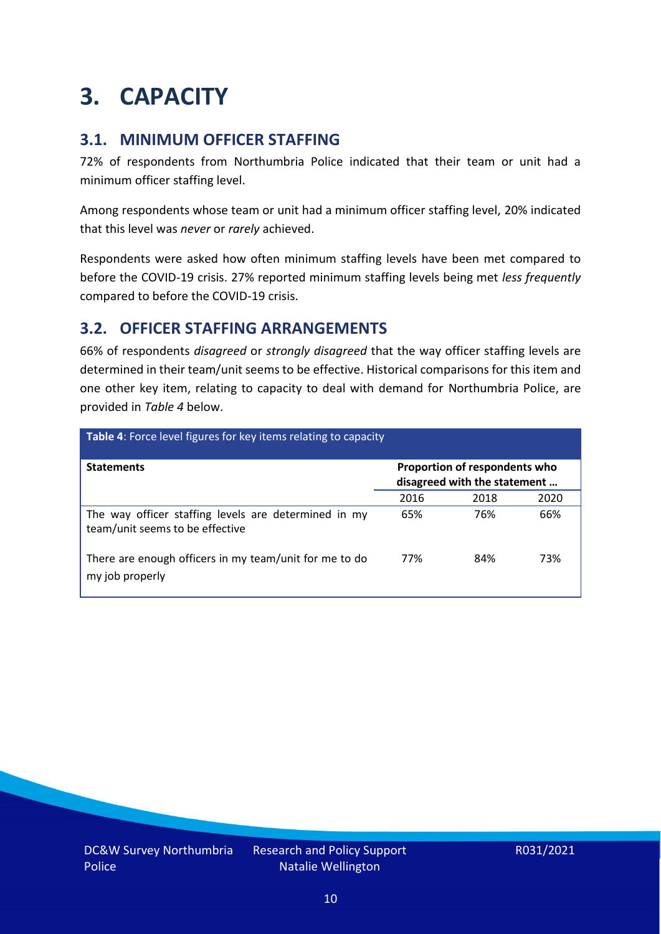### <span id="page-9-0"></span>**3. CAPACITY**

### **3.1. MINIMUM OFFICER STAFFING**

72% of respondents from Northumbria Police indicated that their team or unit had a minimum officer staffing level.

Among respondents whose team or unit had a minimum officer staffing level, 20% indicated that this level was *never* or *rarely* achieved.

Respondents were asked how often minimum staffing levels have been met compared to before the COVID-19 crisis. 27% reported minimum staffing levels being met *less frequently* compared to before the COVID-19 crisis.

### **3.2. OFFICER STAFFING ARRANGEMENTS**

66% of respondents *disagreed* or *strongly disagreed* that the way officer staffing levels are determined in their team/unit seems to be effective. Historical comparisons for this item and one other key item, relating to capacity to deal with demand for Northumbria Police, are provided in *Table 4* below.

| Table 4: Force level figures for key items relating to capacity                         |                                                               |      |      |  |
|-----------------------------------------------------------------------------------------|---------------------------------------------------------------|------|------|--|
| <b>Statements</b>                                                                       | Proportion of respondents who<br>disagreed with the statement |      |      |  |
|                                                                                         | 2016                                                          | 2018 | 2020 |  |
| The way officer staffing levels are determined in my<br>team/unit seems to be effective | 65%                                                           | 76%  | 66%  |  |
| There are enough officers in my team/unit for me to do<br>my job properly               | 77%                                                           | 84%  | 73%  |  |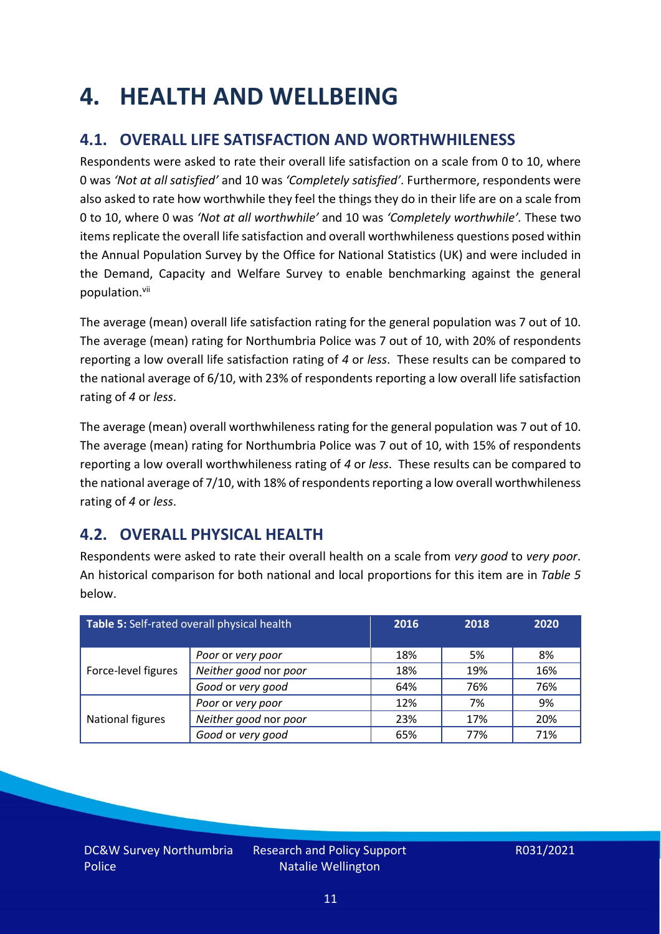### <span id="page-10-0"></span>**4. HEALTH AND WELLBEING**

### **4.1. OVERALL LIFE SATISFACTION AND WORTHWHILENESS**

Respondents were asked to rate their overall life satisfaction on a scale from 0 to 10, where 0 was *'Not at all satisfied'* and 10 was *'Completely satisfied'*. Furthermore, respondents were also asked to rate how worthwhile they feel the things they do in their life are on a scale from 0 to 10, where 0 was *'Not at all worthwhile'* and 10 was *'Completely worthwhile'.* These two items replicate the overall life satisfaction and overall worthwhileness questions posed within the Annual Population Survey by the Office for National Statistics (UK) and were included in the Demand, Capacity and Welfare Survey to enable benchmarking against the general population. vii

The average (mean) overall life satisfaction rating for the general population was 7 out of 10. The average (mean) rating for Northumbria Police was 7 out of 10, with 20% of respondents reporting a low overall life satisfaction rating of *4* or *less*. These results can be compared to the national average of 6/10, with 23% of respondents reporting a low overall life satisfaction rating of *4* or *less*.

The average (mean) overall worthwhileness rating for the general population was 7 out of 10. The average (mean) rating for Northumbria Police was 7 out of 10, with 15% of respondents reporting a low overall worthwhileness rating of *4* or *less*. These results can be compared to the national average of 7/10, with 18% of respondents reporting a low overall worthwhileness rating of *4* or *less*.

### **4.2. OVERALL PHYSICAL HEALTH**

Respondents were asked to rate their overall health on a scale from *very good* to *very poor*. An historical comparison for both national and local proportions for this item are in *Table 5* below.

| Table 5: Self-rated overall physical health |                       | 2016 | 2018 | 2020 |
|---------------------------------------------|-----------------------|------|------|------|
|                                             | Poor or very poor     | 18%  | 5%   | 8%   |
| Force-level figures                         | Neither good nor poor | 18%  | 19%  | 16%  |
|                                             | Good or very good     | 64%  | 76%  | 76%  |
|                                             | Poor or very poor     | 12%  | 7%   | 9%   |
| National figures                            | Neither good nor poor | 23%  | 17%  | 20%  |
|                                             | Good or very good     | 65%  | 77%  | 71%  |

DC&W Survey Northumbria Police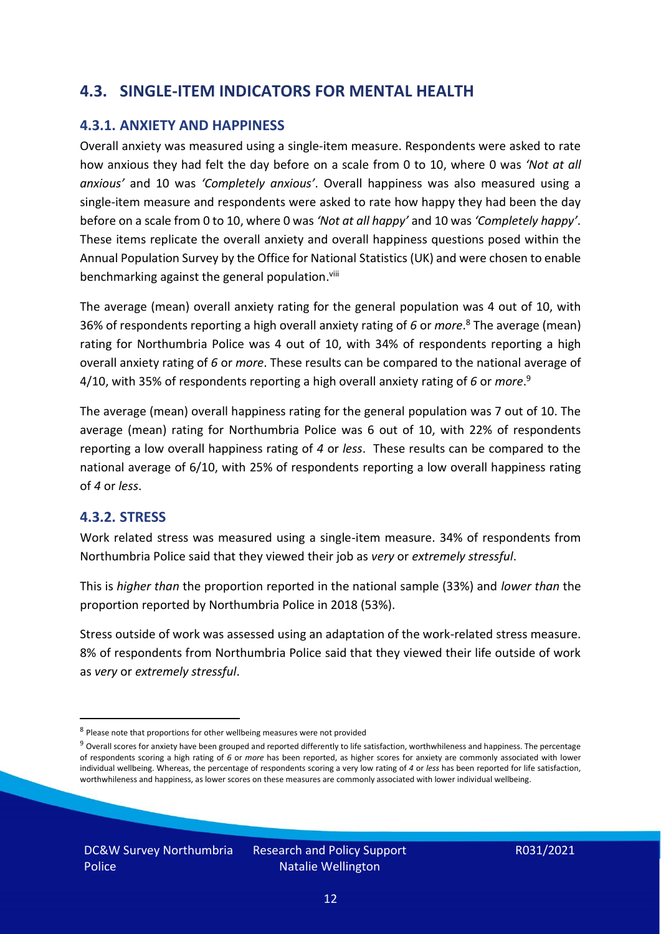### **4.3. SINGLE-ITEM INDICATORS FOR MENTAL HEALTH**

#### **4.3.1. ANXIETY AND HAPPINESS**

Overall anxiety was measured using a single-item measure. Respondents were asked to rate how anxious they had felt the day before on a scale from 0 to 10, where 0 was *'Not at all anxious'* and 10 was *'Completely anxious'*. Overall happiness was also measured using a single-item measure and respondents were asked to rate how happy they had been the day before on a scale from 0 to 10, where 0 was *'Not at all happy'* and 10 was *'Completely happy'*. These items replicate the overall anxiety and overall happiness questions posed within the Annual Population Survey by the Office for National Statistics (UK) and were chosen to enable benchmarking against the general population.<sup>viii</sup>

The average (mean) overall anxiety rating for the general population was 4 out of 10, with 36% of respondents reporting a high overall anxiety rating of *6* or *more*. <sup>8</sup> The average (mean) rating for Northumbria Police was 4 out of 10, with 34% of respondents reporting a high overall anxiety rating of *6* or *more*. These results can be compared to the national average of 4/10, with 35% of respondents reporting a high overall anxiety rating of *6* or *more*. 9

The average (mean) overall happiness rating for the general population was 7 out of 10. The average (mean) rating for Northumbria Police was 6 out of 10, with 22% of respondents reporting a low overall happiness rating of *4* or *less*. These results can be compared to the national average of 6/10, with 25% of respondents reporting a low overall happiness rating of *4* or *less*.

#### **4.3.2. STRESS**

Work related stress was measured using a single-item measure. 34% of respondents from Northumbria Police said that they viewed their job as *very* or *extremely stressful*.

This is *higher than* the proportion reported in the national sample (33%) and *lower than* the proportion reported by Northumbria Police in 2018 (53%).

Stress outside of work was assessed using an adaptation of the work-related stress measure. 8% of respondents from Northumbria Police said that they viewed their life outside of work as *very* or *extremely stressful*.

<sup>&</sup>lt;sup>8</sup> Please note that proportions for other wellbeing measures were not provided

 $9$  Overall scores for anxiety have been grouped and reported differently to life satisfaction, worthwhileness and happiness. The percentage of respondents scoring a high rating of *6* or *more* has been reported, as higher scores for anxiety are commonly associated with lower individual wellbeing. Whereas, the percentage of respondents scoring a very low rating of *4* or *less* has been reported for life satisfaction, worthwhileness and happiness, as lower scores on these measures are commonly associated with lower individual wellbeing.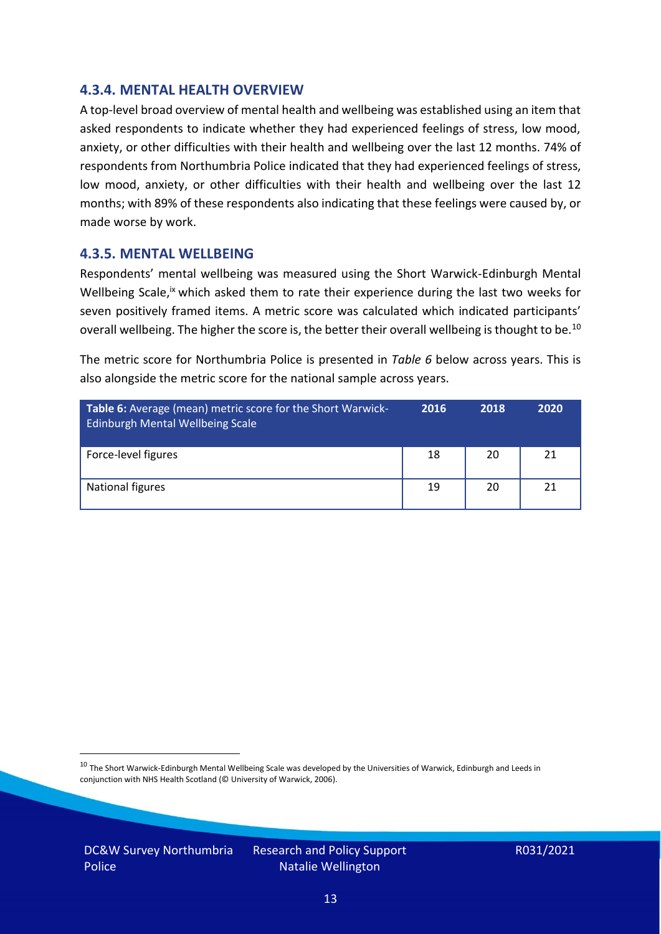#### **4.3.4. MENTAL HEALTH OVERVIEW**

A top-level broad overview of mental health and wellbeing was established using an item that asked respondents to indicate whether they had experienced feelings of stress, low mood, anxiety, or other difficulties with their health and wellbeing over the last 12 months. 74% of respondents from Northumbria Police indicated that they had experienced feelings of stress, low mood, anxiety, or other difficulties with their health and wellbeing over the last 12 months; with 89% of these respondents also indicating that these feelings were caused by, or made worse by work.

#### **4.3.5. MENTAL WELLBEING**

Respondents' mental wellbeing was measured using the Short Warwick-Edinburgh Mental Wellbeing Scale,<sup>ix</sup> which asked them to rate their experience during the last two weeks for seven positively framed items. A metric score was calculated which indicated participants' overall wellbeing. The higher the score is, the better their overall wellbeing is thought to be.<sup>10</sup>

The metric score for Northumbria Police is presented in *Table 6* below across years. This is also alongside the metric score for the national sample across years.

| <b>Table 6:</b> Average (mean) metric score for the Short Warwick-<br>Edinburgh Mental Wellbeing Scale | 2016 | 2018 | 2020 |
|--------------------------------------------------------------------------------------------------------|------|------|------|
| Force-level figures                                                                                    | 18   | 20   | 21   |
| National figures                                                                                       | 19   | 20   | 21   |

 $10$  The Short Warwick-Edinburgh Mental Wellbeing Scale was developed by the Universities of Warwick, Edinburgh and Leeds in conjunction with NHS Health Scotland (© University of Warwick, 2006).

DC&W Survey Northumbria Police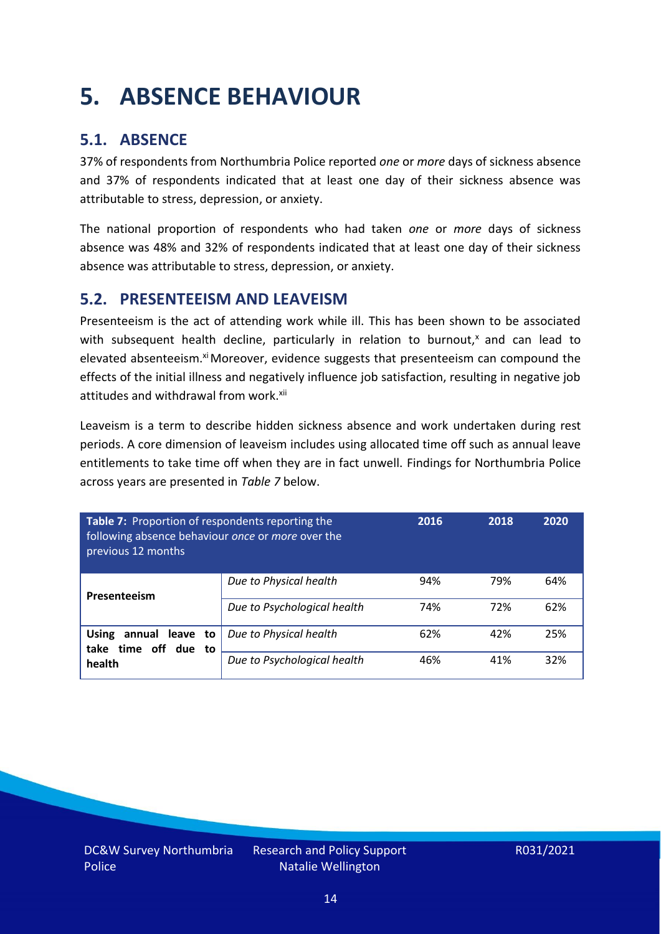### <span id="page-13-0"></span>**5. ABSENCE BEHAVIOUR**

### **5.1. ABSENCE**

37% of respondents from Northumbria Police reported *one* or *more* days of sickness absence and 37% of respondents indicated that at least one day of their sickness absence was attributable to stress, depression, or anxiety.

The national proportion of respondents who had taken *one* or *more* days of sickness absence was 48% and 32% of respondents indicated that at least one day of their sickness absence was attributable to stress, depression, or anxiety.

#### **5.2. PRESENTEEISM AND LEAVEISM**

Presenteeism is the act of attending work while ill. This has been shown to be associated with subsequent health decline, particularly in relation to burnout, $x$  and can lead to elevated absenteeism.<sup>xi</sup> Moreover, evidence suggests that presenteeism can compound the effects of the initial illness and negatively influence job satisfaction, resulting in negative job attitudes and withdrawal from work.<sup>xii</sup>

Leaveism is a term to describe hidden sickness absence and work undertaken during rest periods. A core dimension of leaveism includes using allocated time off such as annual leave entitlements to take time off when they are in fact unwell. Findings for Northumbria Police across years are presented in *Table 7* below.

| Table 7: Proportion of respondents reporting the<br>following absence behaviour once or more over the<br>previous 12 months |                             | 2016 | 2018 | 2020 |
|-----------------------------------------------------------------------------------------------------------------------------|-----------------------------|------|------|------|
| Presenteeism                                                                                                                | Due to Physical health      | 94%  | 79%  | 64%  |
|                                                                                                                             | Due to Psychological health | 74%  | 72%  | 62%  |
| annual leave to<br><b>Using</b><br>time off due to<br>take                                                                  | Due to Physical health      | 62%  | 42%  | 25%  |
| health                                                                                                                      | Due to Psychological health | 46%  | 41%  | 32%  |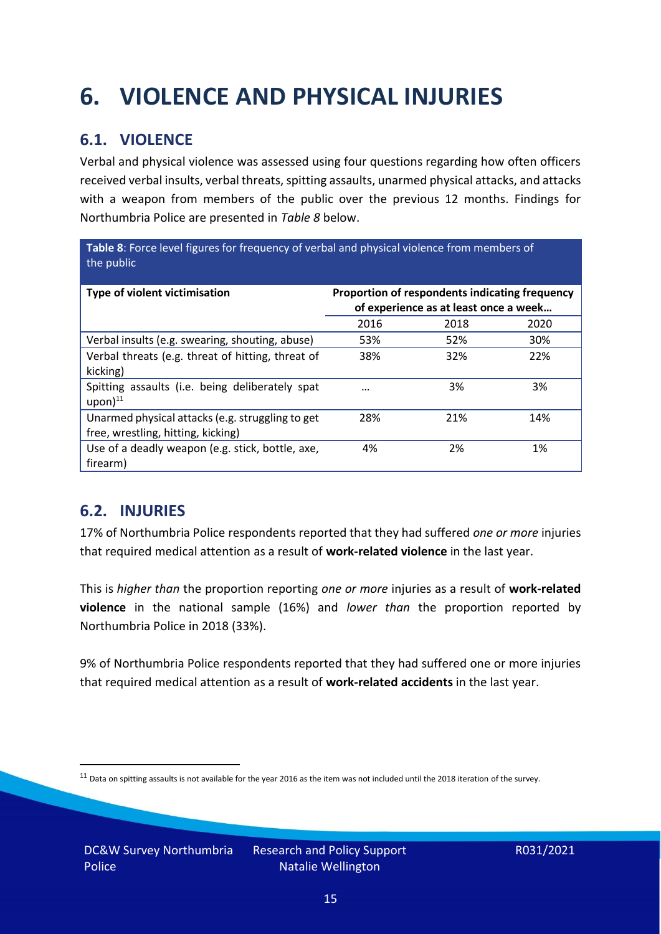## <span id="page-14-0"></span>**6. VIOLENCE AND PHYSICAL INJURIES**

### **6.1. VIOLENCE**

Verbal and physical violence was assessed using four questions regarding how often officers received verbal insults, verbal threats, spitting assaults, unarmed physical attacks, and attacks with a weapon from members of the public over the previous 12 months. Findings for Northumbria Police are presented in *Table 8* below.

**Table 8**: Force level figures for frequency of verbal and physical violence from members of the public

| Type of violent victimisation                                                          | Proportion of respondents indicating frequency<br>of experience as at least once a week |      |      |
|----------------------------------------------------------------------------------------|-----------------------------------------------------------------------------------------|------|------|
|                                                                                        | 2016                                                                                    | 2018 | 2020 |
| Verbal insults (e.g. swearing, shouting, abuse)                                        | 53%                                                                                     | 52%  | 30%  |
| Verbal threats (e.g. threat of hitting, threat of<br>kicking)                          | 38%                                                                                     | 32%  | 22%  |
| Spitting assaults (i.e. being deliberately spat<br>$upon)$ <sup>11</sup>               | $\cdots$                                                                                | 3%   | 3%   |
| Unarmed physical attacks (e.g. struggling to get<br>free, wrestling, hitting, kicking) | 28%                                                                                     | 21%  | 14%  |
| Use of a deadly weapon (e.g. stick, bottle, axe,<br>firearm)                           | 4%                                                                                      | 2%   | 1%   |

### **6.2. INJURIES**

17% of Northumbria Police respondents reported that they had suffered *one or more* injuries that required medical attention as a result of **work-related violence** in the last year.

This is *higher than* the proportion reporting *one or more* injuries as a result of **work-related violence** in the national sample (16%) and *lower than* the proportion reported by Northumbria Police in 2018 (33%).

9% of Northumbria Police respondents reported that they had suffered one or more injuries that required medical attention as a result of **work-related accidents** in the last year.

 $11$  Data on spitting assaults is not available for the year 2016 as the item was not included until the 2018 iteration of the survey.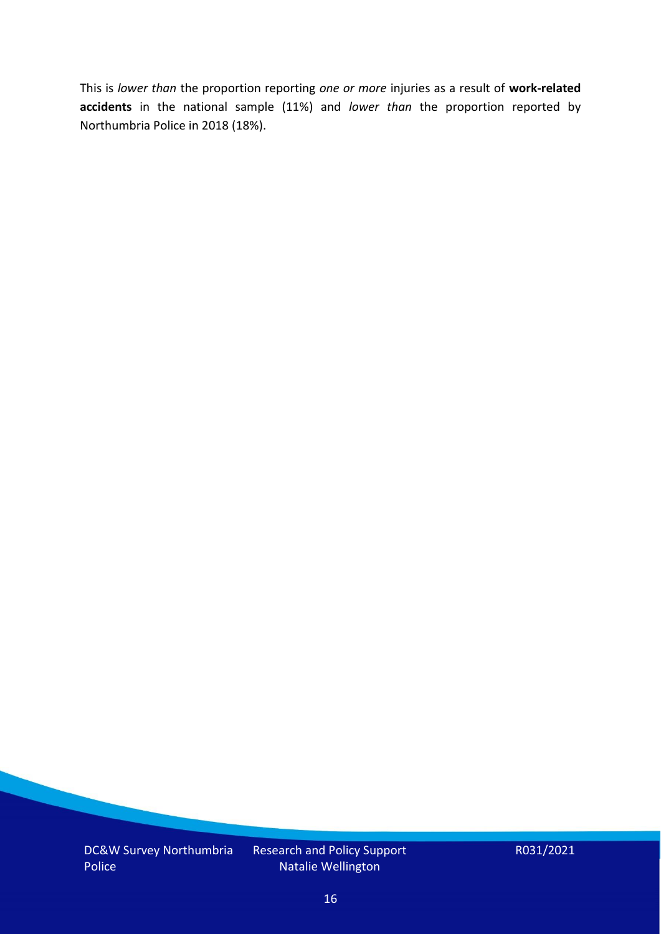This is *lower than* the proportion reporting *one or more* injuries as a result of **work-related accidents** in the national sample (11%) and *lower than* the proportion reported by Northumbria Police in 2018 (18%).

DC&W Survey Northumbria Police

Research and Policy Support Natalie Wellington

R031/2021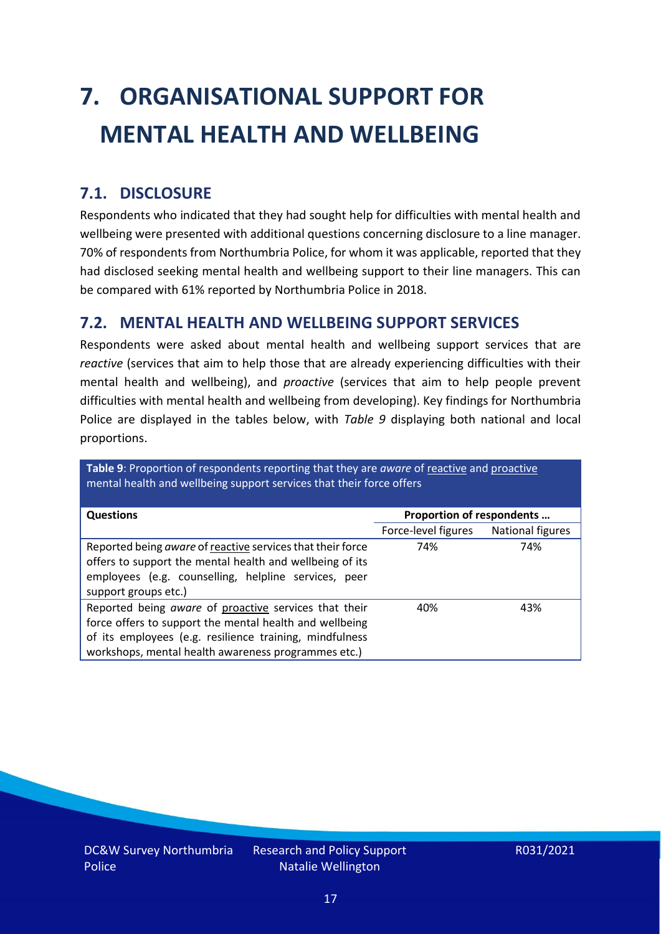# <span id="page-16-0"></span>**7. ORGANISATIONAL SUPPORT FOR MENTAL HEALTH AND WELLBEING**

### **7.1. DISCLOSURE**

Respondents who indicated that they had sought help for difficulties with mental health and wellbeing were presented with additional questions concerning disclosure to a line manager. 70% of respondents from Northumbria Police, for whom it was applicable, reported that they had disclosed seeking mental health and wellbeing support to their line managers. This can be compared with 61% reported by Northumbria Police in 2018.

#### **7.2. MENTAL HEALTH AND WELLBEING SUPPORT SERVICES**

Respondents were asked about mental health and wellbeing support services that are *reactive* (services that aim to help those that are already experiencing difficulties with their mental health and wellbeing), and *proactive* (services that aim to help people prevent difficulties with mental health and wellbeing from developing). Key findings for Northumbria Police are displayed in the tables below, with *Table 9* displaying both national and local proportions.

**Table 9**: Proportion of respondents reporting that they are *aware* of reactive and proactive mental health and wellbeing support services that their force offers

| <b>Questions</b>                                                                                                                                                                                                                   | Proportion of respondents |                  |
|------------------------------------------------------------------------------------------------------------------------------------------------------------------------------------------------------------------------------------|---------------------------|------------------|
|                                                                                                                                                                                                                                    | Force-level figures       | National figures |
| Reported being aware of reactive services that their force<br>offers to support the mental health and wellbeing of its<br>employees (e.g. counselling, helpline services, peer<br>support groups etc.)                             | 74%                       | 74%              |
| Reported being aware of proactive services that their<br>force offers to support the mental health and wellbeing<br>of its employees (e.g. resilience training, mindfulness<br>workshops, mental health awareness programmes etc.) | 40%                       | 43%              |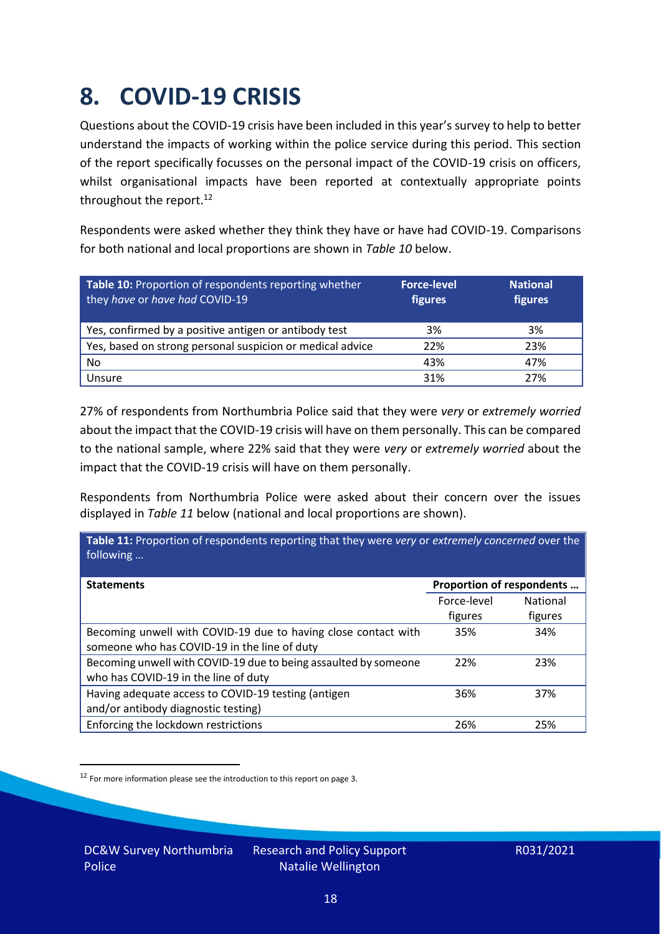### <span id="page-17-0"></span>**8. COVID-19 CRISIS**

Questions about the COVID-19 crisis have been included in this year's survey to help to better understand the impacts of working within the police service during this period. This section of the report specifically focusses on the personal impact of the COVID-19 crisis on officers, whilst organisational impacts have been reported at contextually appropriate points throughout the report.<sup>12</sup>

Respondents were asked whether they think they have or have had COVID-19. Comparisons for both national and local proportions are shown in *Table 10* below.

| Table 10: Proportion of respondents reporting whether<br>they have or have had COVID-19 | <b>Force-level</b><br>figures | <b>National</b><br>figures |
|-----------------------------------------------------------------------------------------|-------------------------------|----------------------------|
| Yes, confirmed by a positive antigen or antibody test                                   | 3%                            | 3%                         |
| Yes, based on strong personal suspicion or medical advice                               | 22%                           | 23%                        |
| No                                                                                      | 43%                           | 47%                        |
| Unsure                                                                                  | 31%                           | 27%                        |

27% of respondents from Northumbria Police said that they were *very* or *extremely worried* about the impact that the COVID-19 crisis will have on them personally. This can be compared to the national sample, where 22% said that they were *very* or *extremely worried* about the impact that the COVID-19 crisis will have on them personally.

Respondents from Northumbria Police were asked about their concern over the issues displayed in *Table 11* below (national and local proportions are shown).

| Proportion of respondents |                                                                                                   |
|---------------------------|---------------------------------------------------------------------------------------------------|
| Force-level               | <b>National</b>                                                                                   |
| figures                   | figures                                                                                           |
| 35%                       | 34%                                                                                               |
|                           |                                                                                                   |
| 22%                       | 23%                                                                                               |
|                           |                                                                                                   |
| 36%                       | 37%                                                                                               |
|                           |                                                                                                   |
| 26%                       | 25%                                                                                               |
|                           | Table 11: Proportion of respondents reporting that they were very or extremely concerned over the |

<sup>12</sup> For more information please see the introduction to this report on page 3.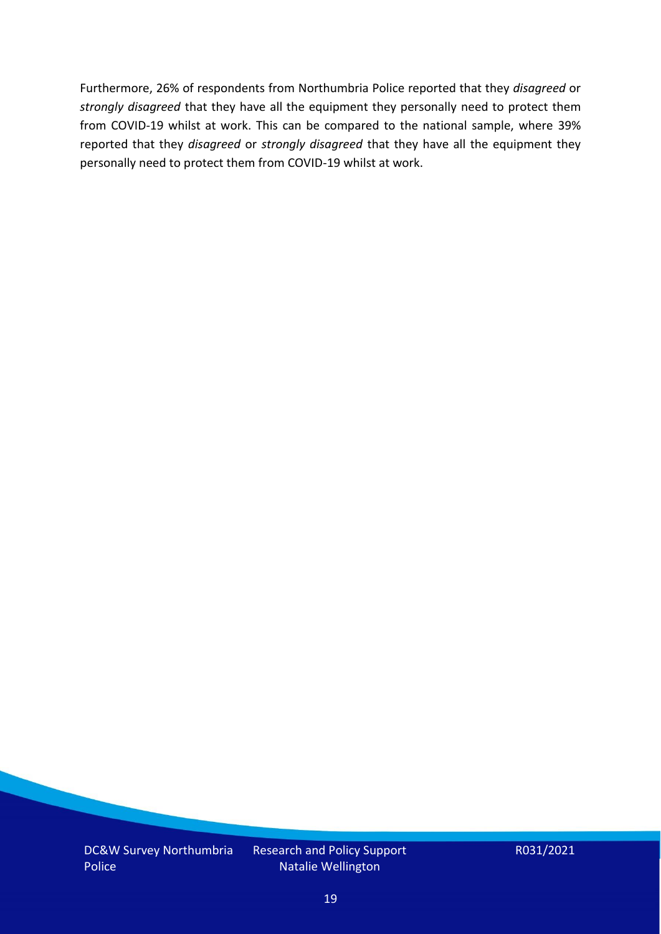Furthermore, 26% of respondents from Northumbria Police reported that they *disagreed* or *strongly disagreed* that they have all the equipment they personally need to protect them from COVID-19 whilst at work. This can be compared to the national sample, where 39% reported that they *disagreed* or *strongly disagreed* that they have all the equipment they personally need to protect them from COVID-19 whilst at work.

DC&W Survey Northumbria Police

Research and Policy Support Natalie Wellington

R031/2021